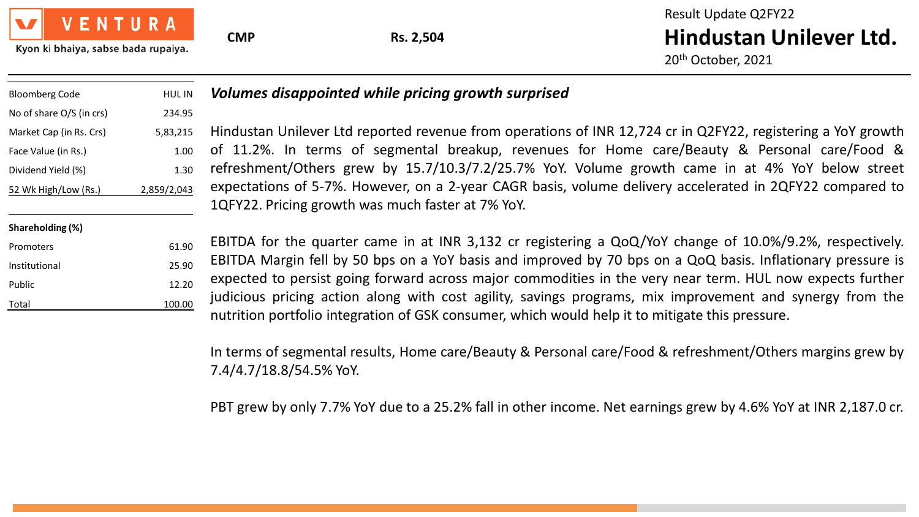| VENTURA |  |
|---------|--|
|         |  |

Kyon ki bhaiya, sabse bada rupaiya.

| <b>Bloomberg Code</b>    | HUL IN      | Volumes disappointed while pricing growth surprised                                                                                                           |
|--------------------------|-------------|---------------------------------------------------------------------------------------------------------------------------------------------------------------|
| No of share O/S (in crs) | 234.95      |                                                                                                                                                               |
| Market Cap (in Rs. Crs)  | 5,83,215    | Hindustan Unilever Ltd reported revenue from operations of INR 12,724 cr in Q2FY22, registering a YoY growth                                                  |
| Face Value (in Rs.)      | 1.00        | of 11.2%. In terms of segmental breakup, revenues for Home care/Beauty & Personal care/Food &                                                                 |
| Dividend Yield (%)       | 1.30        | refreshment/Others grew by 15.7/10.3/7.2/25.7% YoY. Volume growth came in at 4% YoY below street                                                              |
| 52 Wk High/Low (Rs.)     | 2,859/2,043 | expectations of 5-7%. However, on a 2-year CAGR basis, volume delivery accelerated in 2QFY22 compared to<br>1QFY22. Pricing growth was much faster at 7% YoY. |
| Shareholding (%)         |             |                                                                                                                                                               |
| Promoters                | 61.90       | EBITDA for the quarter came in at INR 3,132 cr registering a $QoQ/YoY$ change of 10.0%/9.2%, respectively.                                                    |
| Institutional            | 25.90       | EBITDA Margin fell by 50 bps on a YoY basis and improved by 70 bps on a QoQ basis. Inflationary pressure is                                                   |
| Public                   | 12.20       | expected to persist going forward across major commodities in the very near term. HUL now expects further                                                     |
| Total                    | 100.00      | judicious pricing action along with cost agility, savings programs, mix improvement and synergy from the                                                      |

nutrition portfolio integration of GSK consumer, which would help it to mitigate this pressure.

In terms of segmental results, Home care/Beauty & Personal care/Food & refreshment/Others margins grew by 7.4/4.7/18.8/54.5% YoY.

PBT grew by only 7.7% YoY due to a 25.2% fall in other income. Net earnings grew by 4.6% YoY at INR 2,187.0 cr.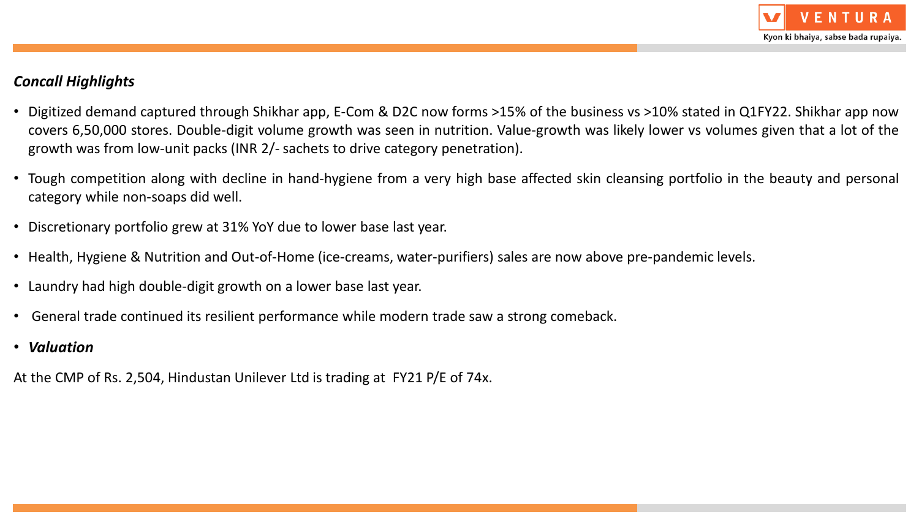

## *Concall Highlights*

- Digitized demand captured through Shikhar app, E-Com & D2C now forms >15% of the business vs >10% stated in Q1FY22. Shikhar app now covers 6,50,000 stores. Double-digit volume growth was seen in nutrition. Value-growth was likely lower vs volumes given that a lot of the growth was from low-unit packs (INR 2/- sachets to drive category penetration).
- Tough competition along with decline in hand-hygiene from a very high base affected skin cleansing portfolio in the beauty and personal category while non-soaps did well.
- Discretionary portfolio grew at 31% YoY due to lower base last year.
- Health, Hygiene & Nutrition and Out-of-Home (ice-creams, water-purifiers) sales are now above pre-pandemic levels.
- Laundry had high double-digit growth on a lower base last year.
- General trade continued its resilient performance while modern trade saw a strong comeback.
- *Valuation*

At the CMP of Rs. 2,504, Hindustan Unilever Ltd is trading at FY21 P/E of 74x.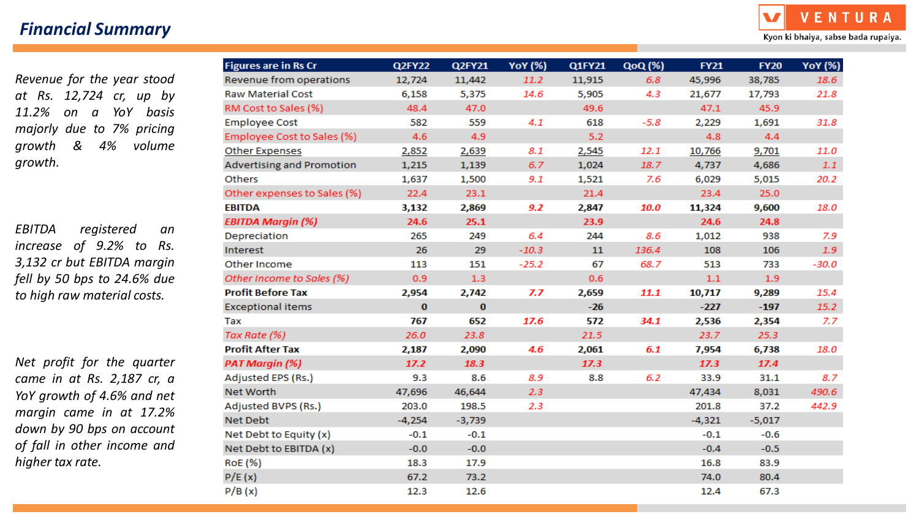## *Financial Summary*

*Revenue for the year stood at Rs. 12,724 cr, up by 11.2% on a YoY basis majorly due to 7% pricing growth & 4% volume growth.*

*EBITDA registered an increase of 9.2% to Rs. 3,132 cr but EBITDA margin fell by 50 bps to 24.6% due to high raw material costs.*

*Net profit for the quarter came in at Rs. 2,187 cr, a YoY growth of 4.6% and net margin came in at 17.2% down by 90 bps on account of fall in other income and higher tax rate.*

| <b>Figures are in Rs Cr</b>      | <b>Q2FY22</b> | Q2FY21   | <b>YoY</b> (%) | Q1FY21 | QoQ (%) | <b>FY21</b> | <b>FY20</b> | <b>YoY</b> (%) |
|----------------------------------|---------------|----------|----------------|--------|---------|-------------|-------------|----------------|
| Revenue from operations          | 12,724        | 11,442   | 11.2           | 11,915 | 6.8     | 45,996      | 38,785      | 18.6           |
| <b>Raw Material Cost</b>         | 6,158         | 5,375    | 14.6           | 5,905  | 4.3     | 21,677      | 17,793      | 21.8           |
| RM Cost to Sales (%)             | 48.4          | 47.0     |                | 49.6   |         | 47.1        | 45.9        |                |
| <b>Employee Cost</b>             | 582           | 559      | 4.1            | 618    | $-5.8$  | 2,229       | 1,691       | 31.8           |
| Employee Cost to Sales (%)       | 4.6           | 4.9      |                | 5.2    |         | 4.8         | 4.4         |                |
| <b>Other Expenses</b>            | 2,852         | 2,639    | 8.1            | 2,545  | 12.1    | 10,766      | 9,701       | 11.0           |
| <b>Advertising and Promotion</b> | 1,215         | 1,139    | 6.7            | 1,024  | 18.7    | 4,737       | 4,686       | 1.1            |
| Others                           | 1,637         | 1,500    | 9.1            | 1,521  | 7.6     | 6,029       | 5,015       | 20.2           |
| Other expenses to Sales (%)      | 22.4          | 23.1     |                | 21.4   |         | 23.4        | 25.0        |                |
| <b>EBITDA</b>                    | 3,132         | 2,869    | 9.2            | 2,847  | 10.0    | 11,324      | 9,600       | 18.0           |
| <b>EBITDA Margin (%)</b>         | 24.6          | 25.1     |                | 23.9   |         | 24.6        | 24.8        |                |
| Depreciation                     | 265           | 249      | 6.4            | 244    | 8.6     | 1,012       | 938         | 7.9            |
| Interest                         | 26            | 29       | $-10.3$        | $11\,$ | 136.4   | 108         | 106         | 1.9            |
| Other Income                     | 113           | 151      | $-25.2$        | 67     | 68.7    | 513         | 733         | $-30.0$        |
| Other Income to Sales (%)        | 0.9           | 1.3      |                | 0.6    |         | 1.1         | 1.9         |                |
| <b>Profit Before Tax</b>         | 2,954         | 2,742    | 7.7            | 2,659  | 11.1    | 10,717      | 9,289       | 15.4           |
| <b>Exceptional items</b>         | $\bf{0}$      | 0        |                | $-26$  |         | $-227$      | $-197$      | 15.2           |
| Tax                              | 767           | 652      | 17.6           | 572    | 34.1    | 2,536       | 2,354       | 7.7            |
| Tax Rate (%)                     | 26.0          | 23.8     |                | 21.5   |         | 23.7        | 25.3        |                |
| <b>Profit After Tax</b>          | 2,187         | 2,090    | 4.6            | 2,061  | 6.1     | 7,954       | 6,738       | 18.0           |
| <b>PAT Margin (%)</b>            | 17.2          | 18.3     |                | 17.3   |         | 17.3        | 17.4        |                |
| Adjusted EPS (Rs.)               | 9.3           | 8.6      | 8.9            | 8.8    | 6.2     | 33.9        | 31.1        | 8.7            |
| Net Worth                        | 47,696        | 46,644   | 2.3            |        |         | 47,434      | 8,031       | 490.6          |
| Adjusted BVPS (Rs.)              | 203.0         | 198.5    | 2.3            |        |         | 201.8       | 37.2        | 442.9          |
| <b>Net Debt</b>                  | $-4,254$      | $-3,739$ |                |        |         | $-4,321$    | $-5,017$    |                |
| Net Debt to Equity (x)           | $-0.1$        | $-0.1$   |                |        |         | $-0.1$      | $-0.6$      |                |
| Net Debt to EBITDA (x)           | $-0.0$        | $-0.0$   |                |        |         | $-0.4$      | $-0.5$      |                |
| RoE (%)                          | 18.3          | 17.9     |                |        |         | 16.8        | 83.9        |                |
| P/E(x)                           | 67.2          | 73.2     |                |        |         | 74.0        | 80.4        |                |
| P/B(x)                           | 12.3          | 12.6     |                |        |         | 12.4        | 67.3        |                |
|                                  |               |          |                |        |         |             |             |                |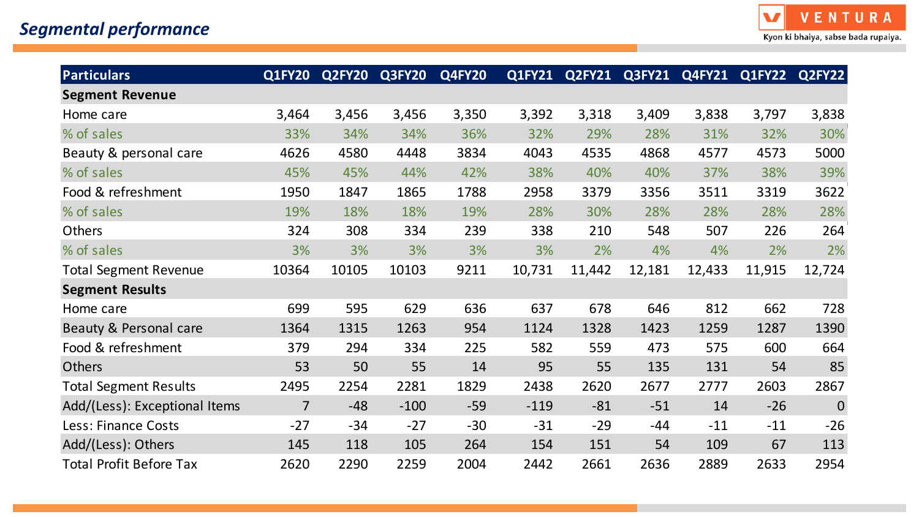

| <b>Particulars</b>             | <b>Q1FY20</b>  | Q2FY20 | Q3FY20 | $\overline{\mathsf{Q4FY20}}$ | <b>Q1FY21</b> | Q2FY21 | Q3FY21 | Q4FY21 | <b>Q1FY22</b> | Q2FY22         |
|--------------------------------|----------------|--------|--------|------------------------------|---------------|--------|--------|--------|---------------|----------------|
| <b>Segment Revenue</b>         |                |        |        |                              |               |        |        |        |               |                |
| Home care                      | 3,464          | 3,456  | 3,456  | 3,350                        | 3,392         | 3,318  | 3,409  | 3,838  | 3,797         | 3,838          |
| % of sales                     | 33%            | 34%    | 34%    | 36%                          | 32%           | 29%    | 28%    | 31%    | 32%           | 30%            |
| Beauty & personal care         | 4626           | 4580   | 4448   | 3834                         | 4043          | 4535   | 4868   | 4577   | 4573          | 5000           |
| % of sales                     | 45%            | 45%    | 44%    | 42%                          | 38%           | 40%    | 40%    | 37%    | 38%           | 39%            |
| Food & refreshment             | 1950           | 1847   | 1865   | 1788                         | 2958          | 3379   | 3356   | 3511   | 3319          | 3622           |
| % of sales                     | 19%            | 18%    | 18%    | 19%                          | 28%           | 30%    | 28%    | 28%    | 28%           | 28%            |
| <b>Others</b>                  | 324            | 308    | 334    | 239                          | 338           | 210    | 548    | 507    | 226           | 264            |
| % of sales                     | 3%             | 3%     | 3%     | 3%                           | 3%            | 2%     | 4%     | 4%     | 2%            | 2%             |
| <b>Total Segment Revenue</b>   | 10364          | 10105  | 10103  | 9211                         | 10,731        | 11,442 | 12,181 | 12,433 | 11,915        | 12,724         |
| <b>Segment Results</b>         |                |        |        |                              |               |        |        |        |               |                |
| Home care                      | 699            | 595    | 629    | 636                          | 637           | 678    | 646    | 812    | 662           | 728            |
| Beauty & Personal care         | 1364           | 1315   | 1263   | 954                          | 1124          | 1328   | 1423   | 1259   | 1287          | 1390           |
| Food & refreshment             | 379            | 294    | 334    | 225                          | 582           | 559    | 473    | 575    | 600           | 664            |
| Others                         | 53             | 50     | 55     | 14                           | 95            | 55     | 135    | 131    | 54            | 85             |
| <b>Total Segment Results</b>   | 2495           | 2254   | 2281   | 1829                         | 2438          | 2620   | 2677   | 2777   | 2603          | 2867           |
| Add/(Less): Exceptional Items  | $\overline{7}$ | $-48$  | $-100$ | $-59$                        | $-119$        | $-81$  | $-51$  | 14     | $-26$         | $\overline{0}$ |
| <b>Less: Finance Costs</b>     | $-27$          | $-34$  | $-27$  | $-30$                        | $-31$         | $-29$  | $-44$  | $-11$  | $-11$         | $-26$          |
| Add/(Less): Others             | 145            | 118    | 105    | 264                          | 154           | 151    | 54     | 109    | 67            | 113            |
| <b>Total Profit Before Tax</b> | 2620           | 2290   | 2259   | 2004                         | 2442          | 2661   | 2636   | 2889   | 2633          | 2954           |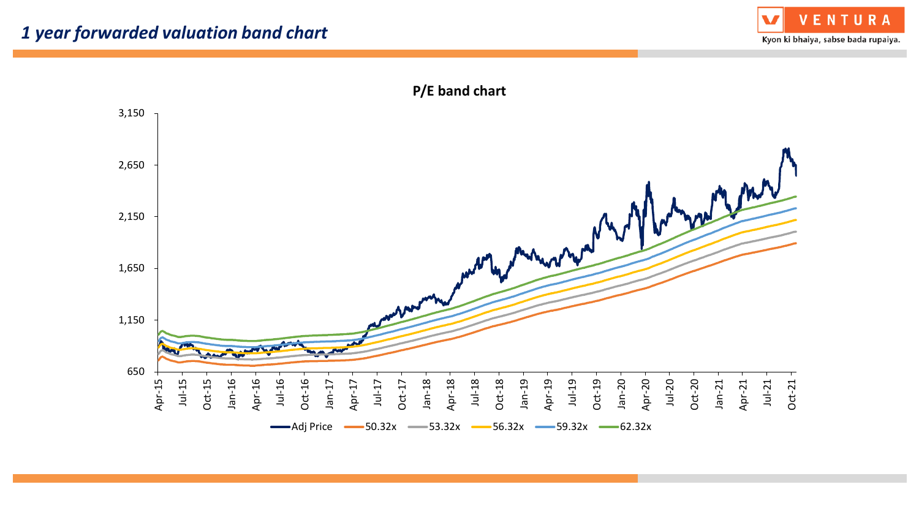



**P/E band chart**